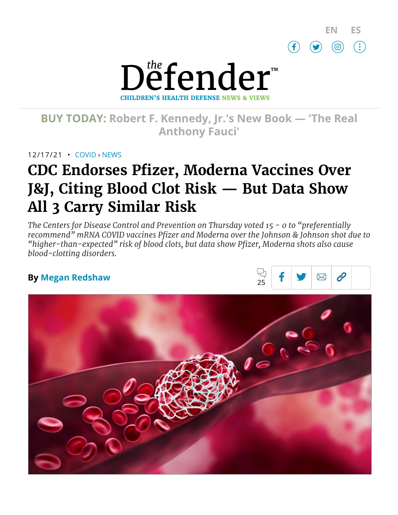



# **BUY TODAY: Robert F. [Kennedy,](https://www.amazon.com/Real-Anthony-Fauci-Democracy-Childrens/dp/1510766804) Jr.'s New Book — 'The Real Anthony Fauci'**

12/17/21 • [COVID](https://childrenshealthdefense.org/defender_category/covid) › [NEWS](https://childrenshealthdefense.org/defender-news)

# **CDC Endorses Pfizer, Moderna Vaccines Over J&J, Citing Blood Clot Risk — But Data Show All 3 Carry Similar Risk**

*The Centers for Disease Control and Prevention on Thursday voted 15 - 0 to "preferentially recommend" mRNA COVID vaccines Pfizer and Moderna over the Johnson & Johnson shot due to "higher-than-expected" risk of blood clots, but data show Pfizer, Moderna shots also cause blood-clotting disorders.*

## **By Megan [Redshaw](https://childrenshealthdefense.org/authors/megan-redshaw/)**



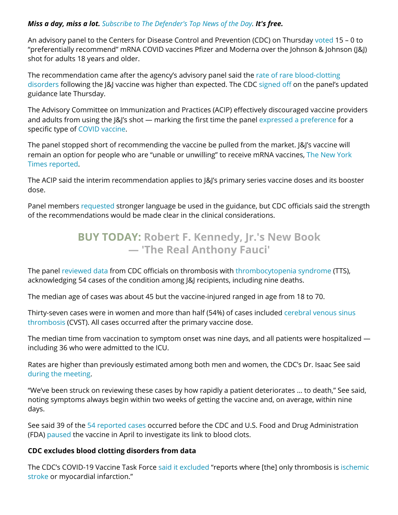#### *Miss a day, miss a lot. Subscribe to [The Defender's](https://childrenshealthdefense.org/about-us/sign-up/?utm_source=top_of_article&utm_medium=the_defender&utm_campaign=sign_ups) Top News of the Day. It's free.*

An advisory panel to the Centers for Disease Control and Prevention (CDC) on Thursday [voted](https://www.cdc.gov/vaccines/acip/meetings/index.html) 15 – 0 to "preferentially recommend" mRNA COVID vaccines Pfizer and Moderna over the Johnson & Johnson (J&J) shot for adults 18 years and older.

The [recommendation](https://www.wsj.com/articles/cdc-advisers-review-blood-clotting-risk-associated-with-j-js-covid-19-vaccine-11639662363) came after the agency's advisory panel said the rate of rare blood-clotting disorders following the J&J vaccine was higher than expected. The CDC [signed off](https://www.cdc.gov/media/releases/2021/s1216-covid-19-vaccines.html) on the panel's updated guidance late Thursday.

The Advisory Committee on Immunization and Practices (ACIP) effectively discouraged vaccine providers and adults from using the J&J's shot — marking the first time the panel [expressed a](https://www.medpagetoday.com/infectiousdisease/covid19vaccine/96244?xid=NL_breakingnewsalert_2021-12-16&eun=g1346736d0r&utm_source=Sailthru&utm_medium=email&utm_campaign=JJacipAlert_121621&utm_term=NL_Daily_Breaking_News_Active) preference for a specific type of COVID [vaccine](https://childrenshealthdefense.org/defender_category/covid/).

The panel stopped short of recommending the vaccine be pulled from the market. J&J's vaccine will remain an option for people who are "unable or [unwilling"](https://www.nytimes.com/live/2021/12/16/world/covid-omicron-vaccines/cdc-johnson-vaccine-blood-clot) to receive mRNA vaccines, The New York Times reported.

The ACIP said the interim recommendation applies to J&J's primary series vaccine doses and its booster dose.

Panel members [requested](https://www.medpagetoday.com/infectiousdisease/covid19vaccine/96244?xid=NL_breakingnewsalert_2021-12-16&eun=g1346736d0r&utm_source=Sailthru&utm_medium=email&utm_campaign=JJacipAlert_121621&utm_term=NL_Daily_Breaking_News_Active) stronger language be used in the guidance, but CDC officials said the strength of the recommendations would be made clear in the clinical considerations.

# **BUY TODAY: Robert F. Kennedy, Jr.'s New Book — 'The [Real Anthony](https://www.amazon.com/Real-Anthony-Fauci-Democracy-Childrens/dp/1510766804) Fauci'**

The panel [reviewed data](https://www.cdc.gov/vaccines/acip/meetings/downloads/slides-2021-12-16/02-COVID-See-508.pdf) from CDC officials on thrombosis with [thrombocytopenia](https://www.hematology.org/covid-19/vaccine-induced-immune-thrombotic-thrombocytopenia) syndrome (TTS), acknowledging 54 cases of the condition among J&J recipients, including nine deaths.

The median age of cases was about 45 but the vaccine-injured ranged in age from 18 to 70.

Thirty-seven cases were in women and more than half (54%) of cases [included cerebral](https://www.hopkinsmedicine.org/health/conditions-and-diseases/cerebral-venous-sinus-thrombosis#:~:text=Cerebral%20venous%20sinus%20thrombosis%20(CVST)%20occurs%20when%20a%20blood%20clot,brain%20tissues%2C%20forming%20a%20hemorrhage.) venous sinus thrombosis (CVST). All cases occurred after the primary vaccine dose.

The median time from vaccination to symptom onset was nine days, and all patients were hospitalized including 36 who were admitted to the ICU.

Rates are higher than previously estimated among both men and women, the CDC's Dr. Isaac See said during the [meeting](https://www.cnn.com/2021/12/16/health/johnson-vaccine-acip-recommendation-mrna-preferred/index.html).

"We've been struck on reviewing these cases by how rapidly a patient deteriorates … to death," See said, noting symptoms always begin within two weeks of getting the vaccine and, on average, within nine days.

See said 39 of the 54 [reported cases](https://www.cnn.com/2021/12/16/health/johnson-vaccine-acip-recommendation-mrna-preferred/index.html) occurred before the CDC and U.S. Food and Drug Administration (FDA) [paused](https://childrenshealthdefense.org/defender/u-s-pauses-johnson-johnson-covid-vaccine/) the vaccine in April to investigate its link to blood clots.

#### **CDC excludes blood clotting disorders from data**

The CDC's COVID-19 Vaccine Task Force said it [excluded](https://www.cdc.gov/vaccines/acip/meetings/downloads/slides-2021-12-16/02-COVID-See-508.pdf) "reports where [the] only [thrombosis](https://www.stroke.org/en/about-stroke/types-of-stroke/ischemic-stroke-clots) is ischemic stroke or myocardial infarction."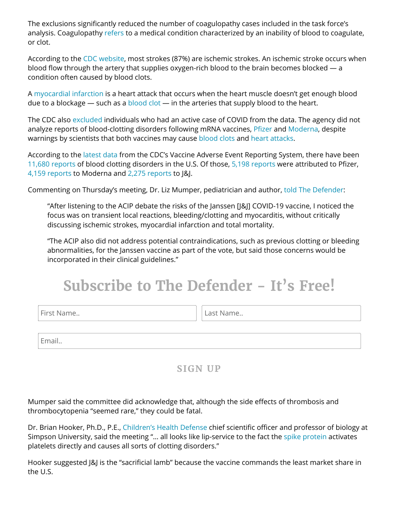The exclusions significantly reduced the number of coagulopathy cases included in the task force's analysis. Coagulopathy [refers](https://study.com/learn/lesson/what-is-coagulopathy.html) to a medical condition characterized by an inability of blood to coagulate, or clot.

According to the CDC [website](https://www.cdc.gov/stroke/types_of_stroke.htm), most strokes (87%) are ischemic strokes. An ischemic stroke occurs when blood flow through the artery that supplies oxygen-rich blood to the brain becomes blocked — a condition often caused by blood clots.

A [myocardial](https://www.cdc.gov/heartdisease/heart_attack.htm) infarction is a heart attack that occurs when the heart muscle doesn't get enough blood due to a blockage  $-$  such as a [blood clot](https://my.clevelandclinic.org/health/diseases/16818-heart-attack-myocardial-infarction)  $-$  in the arteries that supply blood to the heart.

The CDC also [excluded](https://www.cdc.gov/vaccines/acip/meetings/downloads/slides-2021-12-16/02-COVID-See-508.pdf) individuals who had an active case of COVID from the data. The agency did not analyze reports of blood-clotting disorders following mRNA vaccines, [Pfizer](https://childrenshealthdefense.org/defender/fda-75-years-release-pfizer-vaccine-documents/) and [Moderna,](https://childrenshealthdefense.org/defender/bobby-amy-bolin-lung-transplant-dies-moderna-covid-vaccine/) despite warnings by scientists that both vaccines may cause [blood clots](https://childrenshealthdefense.org/defender/pfizer-moderna-vaccines-blood-clots/) and heart [attacks](https://childrenshealthdefense.org/defender/sharyl-attkisson-steven-gundry-pfizer-moderna-vaccines-heart-attack-risk/).

According to the [latest](https://childrenshealthdefense.org/defender/vaers-cdc-covid-vaccine-pfizer-moderna-johnson/) data from the CDC's Vaccine Adverse Event Reporting System, there have been 11,680 [reports](https://medalerts.org/vaersdb/findfield.php?TABLE=ON&GROUP1=AGE&EVENTS=ON&SYMPTOMS[]=Cerebral+venous+sinus+thrombosis+%2810083037%29&SYMPTOMS[]=Cerebral+venous+thrombosis+%2810008138%29&SYMPTOMS[]=Coagulopathy+%2810009802%29&SYMPTOMS[]=Deep+vein+thrombosis+%2810051055%29&SYMPTOMS[]=Disseminated+intravascular+coagulation+%2810013442%29&SYMPTOMS[]=Embolism+%2810061169%29&SYMPTOMS[]=Idiopathic+thrombocytopenic+purpura+%2810021245%29&SYMPTOMS[]=Immune+thrombocytopenia+%2810083842%29&SYMPTOMS[]=Immune+thrombocytopenic+purpura+%2810074667%29&SYMPTOMS[]=Ischaemic+stroke+%2810061256%29&SYMPTOMS[]=Myocardial+infarction+%2810028596%29&SYMPTOMS[]=Petechiae+%2810034754%29&SYMPTOMS[]=Pulmonary+embolism+%2810037377%29&SYMPTOMS[]=Purpura+%2810037549%29&SYMPTOMS[]=Thrombocytopenia+%2810043554%29&SYMPTOMS[]=Thrombosis+%2810043607%29&SYMPTOMS[]=Vasculitis+%2810047115%29&VAX=COVID19&STATE=NOTFR) of blood clotting disorders in the U.S. Of those, 5,198 [reports](https://medalerts.org/vaersdb/findfield.php?TABLE=ON&GROUP1=AGE&EVENTS=ON&SYMPTOMS[]=Cerebral+venous+sinus+thrombosis+%2810083037%29&SYMPTOMS[]=Cerebral+venous+thrombosis+%2810008138%29&SYMPTOMS[]=Coagulopathy+%2810009802%29&SYMPTOMS[]=Deep+vein+thrombosis+%2810051055%29&SYMPTOMS[]=Disseminated+intravascular+coagulation+%2810013442%29&SYMPTOMS[]=Embolism+%2810061169%29&SYMPTOMS[]=Idiopathic+thrombocytopenic+purpura+%2810021245%29&SYMPTOMS[]=Immune+thrombocytopenia+%2810083842%29&SYMPTOMS[]=Immune+thrombocytopenic+purpura+%2810074667%29&SYMPTOMS[]=Ischaemic+stroke+%2810061256%29&SYMPTOMS[]=Myocardial+infarction+%2810028596%29&SYMPTOMS[]=Petechiae+%2810034754%29&SYMPTOMS[]=Pulmonary+embolism+%2810037377%29&SYMPTOMS[]=Purpura+%2810037549%29&SYMPTOMS[]=Thrombocytopenia+%2810043554%29&SYMPTOMS[]=Thrombosis+%2810043607%29&SYMPTOMS[]=Vasculitis+%2810047115%29&VAX=COVID19&VAXMAN=PFIZER/BIONTECH&STATE=NOTFR) were attributed to Pfizer, 4,159 [reports](https://medalerts.org/vaersdb/findfield.php?TABLE=ON&GROUP1=AGE&EVENTS=ON&SYMPTOMS[]=Cerebral+venous+sinus+thrombosis+%2810083037%29&SYMPTOMS[]=Cerebral+venous+thrombosis+%2810008138%29&SYMPTOMS[]=Coagulopathy+%2810009802%29&SYMPTOMS[]=Deep+vein+thrombosis+%2810051055%29&SYMPTOMS[]=Disseminated+intravascular+coagulation+%2810013442%29&SYMPTOMS[]=Embolism+%2810061169%29&SYMPTOMS[]=Idiopathic+thrombocytopenic+purpura+%2810021245%29&SYMPTOMS[]=Immune+thrombocytopenia+%2810083842%29&SYMPTOMS[]=Immune+thrombocytopenic+purpura+%2810074667%29&SYMPTOMS[]=Ischaemic+stroke+%2810061256%29&SYMPTOMS[]=Myocardial+infarction+%2810028596%29&SYMPTOMS[]=Petechiae+%2810034754%29&SYMPTOMS[]=Pulmonary+embolism+%2810037377%29&SYMPTOMS[]=Purpura+%2810037549%29&SYMPTOMS[]=Thrombocytopenia+%2810043554%29&SYMPTOMS[]=Thrombosis+%2810043607%29&SYMPTOMS[]=Vasculitis+%2810047115%29&VAX=COVID19&VAXMAN=MODERNA&STATE=NOTFR) to Moderna and 2,275 [reports](https://medalerts.org/vaersdb/findfield.php?TABLE=ON&GROUP1=AGE&EVENTS=ON&SYMPTOMS[]=Cerebral+venous+sinus+thrombosis+%2810083037%29&SYMPTOMS[]=Cerebral+venous+thrombosis+%2810008138%29&SYMPTOMS[]=Coagulopathy+%2810009802%29&SYMPTOMS[]=Deep+vein+thrombosis+%2810051055%29&SYMPTOMS[]=Disseminated+intravascular+coagulation+%2810013442%29&SYMPTOMS[]=Embolism+%2810061169%29&SYMPTOMS[]=Idiopathic+thrombocytopenic+purpura+%2810021245%29&SYMPTOMS[]=Immune+thrombocytopenia+%2810083842%29&SYMPTOMS[]=Immune+thrombocytopenic+purpura+%2810074667%29&SYMPTOMS[]=Ischaemic+stroke+%2810061256%29&SYMPTOMS[]=Myocardial+infarction+%2810028596%29&SYMPTOMS[]=Petechiae+%2810034754%29&SYMPTOMS[]=Pulmonary+embolism+%2810037377%29&SYMPTOMS[]=Purpura+%2810037549%29&SYMPTOMS[]=Thrombocytopenia+%2810043554%29&SYMPTOMS[]=Thrombosis+%2810043607%29&SYMPTOMS[]=Vasculitis+%2810047115%29&VAX=COVID19&VAXMAN=JANSSEN&STATE=NOTFR) to J&J.

Commenting on Thursday's meeting, Dr. Liz Mumper, pediatrician and author, told The [Defender](https://childrenshealthdefense.org/defender/):

"After listening to the ACIP debate the risks of the Janssen [J&J] COVID-19 vaccine, I noticed the focus was on transient local reactions, bleeding/clotting and myocarditis, without critically discussing ischemic strokes, myocardial infarction and total mortality.

"The ACIP also did not address potential contraindications, such as previous clotting or bleeding abnormalities, for the Janssen vaccine as part of the vote, but said those concerns would be incorporated in their clinical guidelines."

# **Subscribe to The Defender - It's Free!**

Last Name..

Email..

## **SIGN UP**

Mumper said the committee did acknowledge that, although the side effects of thrombosis and thrombocytopenia "seemed rare," they could be fatal.

Dr. Brian Hooker, Ph.D., P.E., [Children's](https://childrenshealthdefense.org/) Health Defense chief scientific officer and professor of biology at Simpson University, said the meeting "… all looks like lip-service to the fact the spike [protein](https://childrenshealthdefense.org/defender/covid-vaccine-spike-protein-travels-from-injection-site-organ-damage/) activates platelets directly and causes all sorts of clotting disorders."

Hooker suggested J&J is the "sacrificial lamb" because the vaccine commands the least market share in the U.S.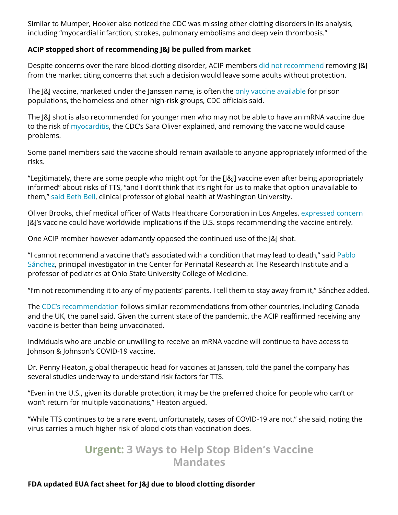Similar to Mumper, Hooker also noticed the CDC was missing other clotting disorders in its analysis, including "myocardial infarction, strokes, pulmonary embolisms and deep vein thrombosis."

#### **ACIP stopped short of recommending J&J be pulled from market**

Despite concerns over the rare blood-clotting disorder, ACIP members did not [recommend](https://www.cdc.gov/vaccines/acip/meetings/index.html) removing J&J from the market citing concerns that such a decision would leave some adults without protection.

The [&] vaccine, marketed under the Janssen name, is often the only vaccine [available](https://www.cnn.com/2021/12/16/health/johnson-vaccine-acip-recommendation-mrna-preferred/index.html) for prison populations, the homeless and other high-risk groups, CDC officials said.

The J&J shot is also recommended for younger men who may not be able to have an mRNA vaccine due to the risk of [myocarditis,](https://childrenshealthdefense.org/defender/emily-jo-14-year-old-son-aiden-myocarditis-pfizer-vaccine/) the CDC's Sara Oliver explained, and removing the vaccine would cause problems.

Some panel members said the vaccine should remain available to anyone appropriately informed of the risks.

"Legitimately, there are some people who might opt for the [J&J] vaccine even after being appropriately informed" about risks of TTS, "and I don't think that it's right for us to make that option unavailable to them," [said Beth](http://dev.globalhealth.washington.edu/faculty/beth-bell) Bell, clinical professor of global health at Washington University.

Oliver Brooks, chief medical officer of Watts Healthcare Corporation in Los Angeles, [expressed concern](https://www.medpagetoday.com/infectiousdisease/covid19vaccine/96244?xid=NL_breakingnewsalert_2021-12-16&eun=g1346736d0r&utm_source=Sailthru&utm_medium=email&utm_campaign=JJacipAlert_121621&utm_term=NL_Daily_Breaking_News_Active) J&J's vaccine could have worldwide implications if the U.S. stops recommending the vaccine entirely.

One ACIP member however adamantly opposed the continued use of the J&J shot.

"I cannot recommend a vaccine that's [associated with](https://people.ohioinnovationexchange.org/9206-pablo-sanchez) a condition that may lead to death," said Pablo Sánchez, principal investigator in the Center for Perinatal Research at The Research Institute and a professor of pediatrics at Ohio State University College of Medicine.

"I'm not recommending it to any of my patients' parents. I tell them to stay away from it," Sánchez added.

The CDC's [recommendation](https://www.cnn.com/2021/12/16/health/johnson-vaccine-acip-recommendation-mrna-preferred/index.html) follows similar recommendations from other countries, including Canada and the UK, the panel said. Given the current state of the pandemic, the ACIP reaffirmed receiving any vaccine is better than being unvaccinated.

Individuals who are unable or unwilling to receive an mRNA vaccine will continue to have access to Johnson & Johnson's COVID-19 vaccine.

Dr. Penny Heaton, global therapeutic head for vaccines at Janssen, told the panel the company has several studies underway to understand risk factors for TTS.

"Even in the U.S., given its durable protection, it may be the preferred choice for people who can't or won't return for multiple vaccinations," Heaton argued.

"While TTS continues to be a rare event, unfortunately, cases of COVID-19 are not," she said, noting the virus carries a much higher risk of blood clots than vaccination does.

## **Urgent: 3 Ways to Help Stop Biden's Vaccine [Mandates](https://childrenshealthdefense.org/defender/help-stop-biden-vaccine-mandates/)**

#### **FDA updated EUA fact sheet for J&J due to blood clotting disorder**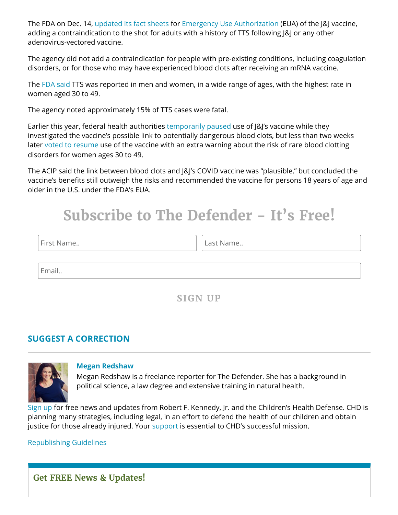The FDA on Dec. 14, [updated its](https://www.fda.gov/emergency-preparedness-and-response/coronavirus-disease-2019-covid-19/janssen-covid-19-vaccine) fact sheets for Emergency Use [Authorization](https://www.fda.gov/emergency-preparedness-and-response/mcm-legal-regulatory-and-policy-framework/emergency-use-authorization) (EUA) of the J&J vaccine, adding a contraindication to the shot for adults with a history of TTS following J&J or any other adenovirus-vectored vaccine.

The agency did not add a contraindication for people with pre-existing conditions, including coagulation disorders, or for those who may have experienced blood clots after receiving an mRNA vaccine.

The FDA [said](https://www.fda.gov/emergency-preparedness-and-response/coronavirus-disease-2019-covid-19/janssen-covid-19-vaccine) TTS was reported in men and women, in a wide range of ages, with the highest rate in women aged 30 to 49.

The agency noted approximately 15% of TTS cases were fatal.

Earlier this year, federal health authorities [temporarily](https://childrenshealthdefense.org/defender/u-s-pauses-johnson-johnson-covid-vaccine/) paused use of J&J's vaccine while they investigated the vaccine's possible link to potentially dangerous blood clots, but less than two weeks later [voted to](https://childrenshealthdefense.org/defender/cdc-panel-resume-use-of-jj-covid-vaccine-no-restrictions/) resume use of the vaccine with an extra warning about the risk of rare blood clotting disorders for women ages 30 to 49.

The ACIP said the link between blood clots and J&J's COVID vaccine was "plausible," but concluded the vaccine's benefits still outweigh the risks and recommended the vaccine for persons 18 years of age and older in the U.S. under the FDA's EUA.

# **Subscribe to The Defender - It's Free!**

| First Name |
|------------|
|            |

Last Name..

Email..

## **SIGN UP**

## **SUGGEST A [CORRECTION](https://childrenshealthdefense.org/suggest-a-correction/)**



#### **Megan [Redshaw](https://childrenshealthdefense.org/authors/megan-redshaw/)**

Megan Redshaw is a freelance reporter for The Defender. She has a background in political science, a law degree and extensive training in natural health.

[Sign](https://childrenshealthdefense.org/about-us/sign-up/) up for free news and updates from Robert F. Kennedy, Jr. and the Children's Health Defense. CHD is planning many strategies, including legal, in an effort to defend the health of our children and obtain justice for those already injured. Your [support](https://childrenshealthdefense.org/about-us/donate/) is essential to CHD's successful mission.

<span id="page-4-0"></span>[Republishing](https://childrenshealthdefense.org/uncategorized/re-publishing-guidelines/) Guidelines

**Get FREE News & Updates!**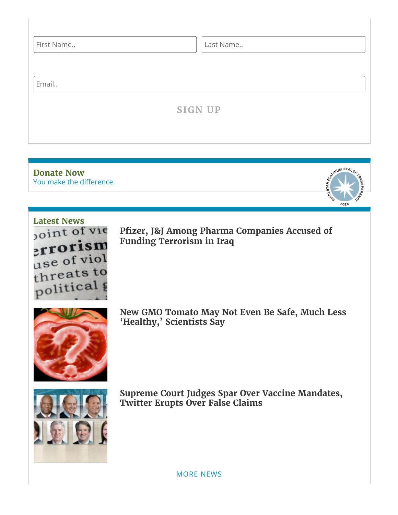| First Name | Last Name      |
|------------|----------------|
| Email      |                |
|            | <b>SIGN UP</b> |
|            |                |

You make the [difference.](https://childrenshealthdefense.org/about-us/donate) **[Donate](https://childrenshealthdefense.org/about-us/donate) Now**



**[Latest](https://childrenshealthdefense.org/defender-news) News** errorism use of viol threats to political

**Pfizer, J&J Among Pharma [Companies Accused](https://childrenshealthdefense.org/defender/pfizer-johnson-pharma-funding-terrorism-iraq/) of Funding Terrorism in Iraq**



**New GMO Tomato May Not Even Be Safe, Much Less 'Healthy, ' [Scientists Say](https://childrenshealthdefense.org/defender/sanatech-gmo-tomato-not-safe/)**



**Supreme Court Judges Spar Over Vaccine Mandates, Twitter [Erupts Over](https://childrenshealthdefense.org/defender/supreme-court-vaccine-mandates-false-claims/) False Claims**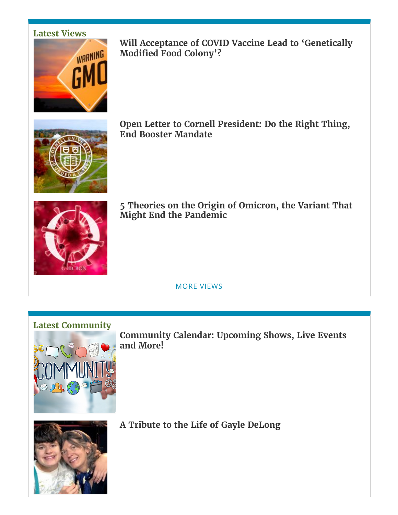## **[Latest](https://childrenshealthdefense.org/defender-views) Views**



**Will Acceptance of COVID Vaccine Lead to ['Genetically](https://childrenshealthdefense.org/defender/russell-brand-covid-vaccine-genetically-modified-food-colony/) Modified Food Colony'?**



**Open Letter to Cornell [President:](https://childrenshealthdefense.org/defender/open-letter-cornell-president-end-booster-mandate/) Do the Right Thing, End Booster Mandate**



**5 [Theories on](https://childrenshealthdefense.org/defender/theories-origin-omicron-variant-end-pandemic/) the Origin of Omicron, the Variant That Might End the Pandemic**

MORE [VIEWS](https://childrenshealthdefense.org/defender-views)

#### **Latest [Community](https://childrenshealthdefense.org/community)**



**[Community](https://live.childrenshealthdefense.org/community/community-calendar) Calendar: Upcoming Shows, Live Events and More!**



**A Tribute to the Life of Gayle [DeLong](https://childrenshealthdefense.org/defender/tribute-gayle-delong/)**